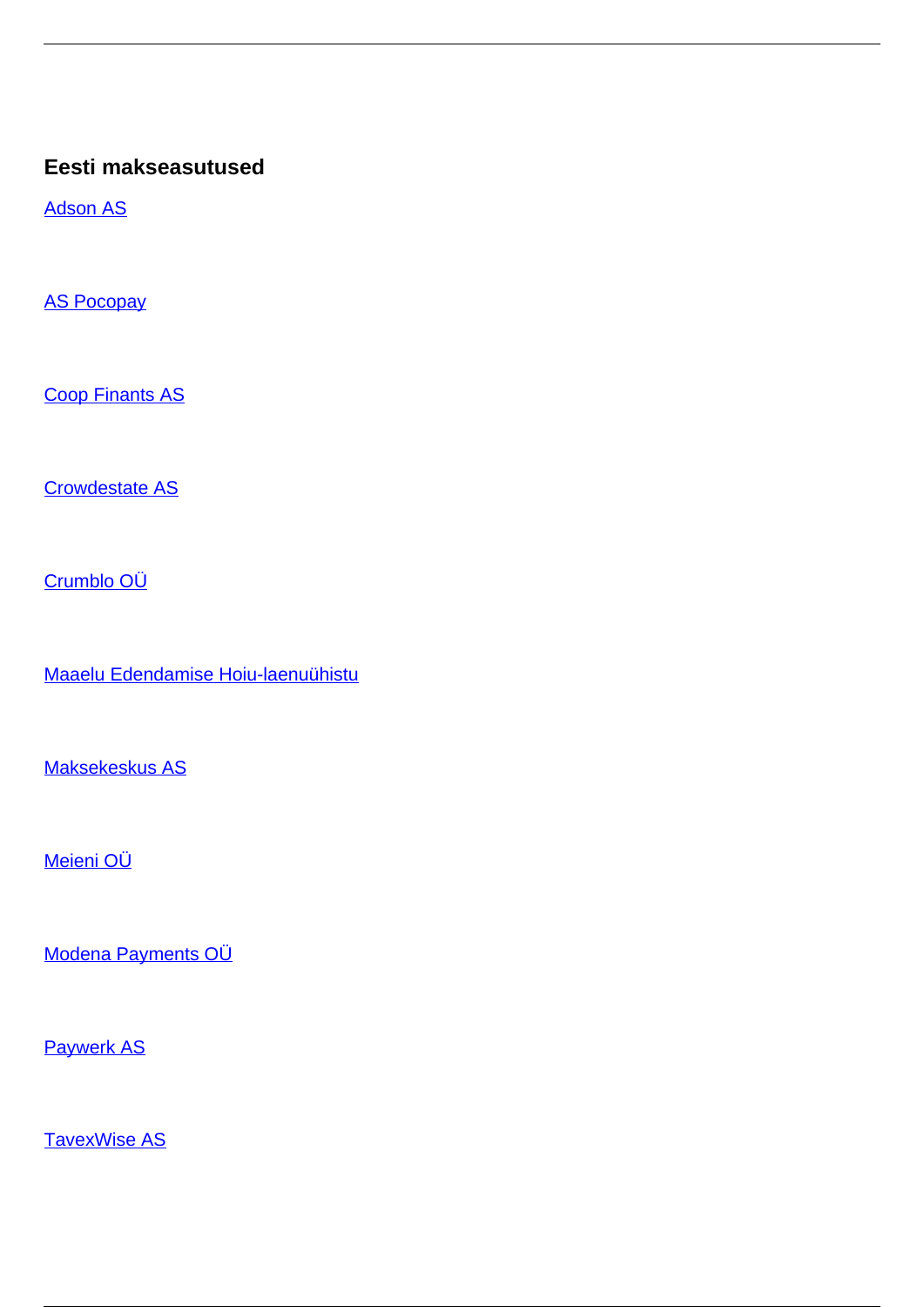### **Eesti makseasutused**

[Adson AS](/et/makseteenused/makseteenused/makseasutused/eesti-makseasutused/adson)

[AS Pocopay](/et/makseteenused/makseteenused/makseasutused/eesti-makseasutused/pocopay)

[Coop Finants AS](/et/makseteenused/makseteenused/makseasutused/eesti-makseasutused/coop-finants)

[Crowdestate AS](/et/makseteenused/makseteenused/makseasutused/eesti-makseasutused/crowdestate)

[Crumblo OÜ](/et/makseteenused/makseteenused/makseasutused/eesti-makseasutused/crumblo-ou)

[Maaelu Edendamise Hoiu-laenuühistu](/et/makseteenused/makseasutused/eesti-makseasutused/maaelu-edendamise-hoiu-laenuuhistu)

[Maksekeskus AS](/et/makseteenused/makseteenused/makseasutused/eesti-makseasutused/maksekeskus)

[Meieni OÜ](/et/makseteenused/makseteenused/makseasutused/eesti-makseasutused/meieni-ou)

[Modena Payments OÜ](/et/makseteenused/makseteenused/makseasutused/eesti-makseasutused/modena-payments-ou)

[Paywerk AS](/et/makseteenused/makseteenused/makseasutused/eesti-makseasutused/paywerk)

[TavexWise AS](/et/makseteenused/makseteenused/makseasutused/eesti-makseasutused/tavexwise)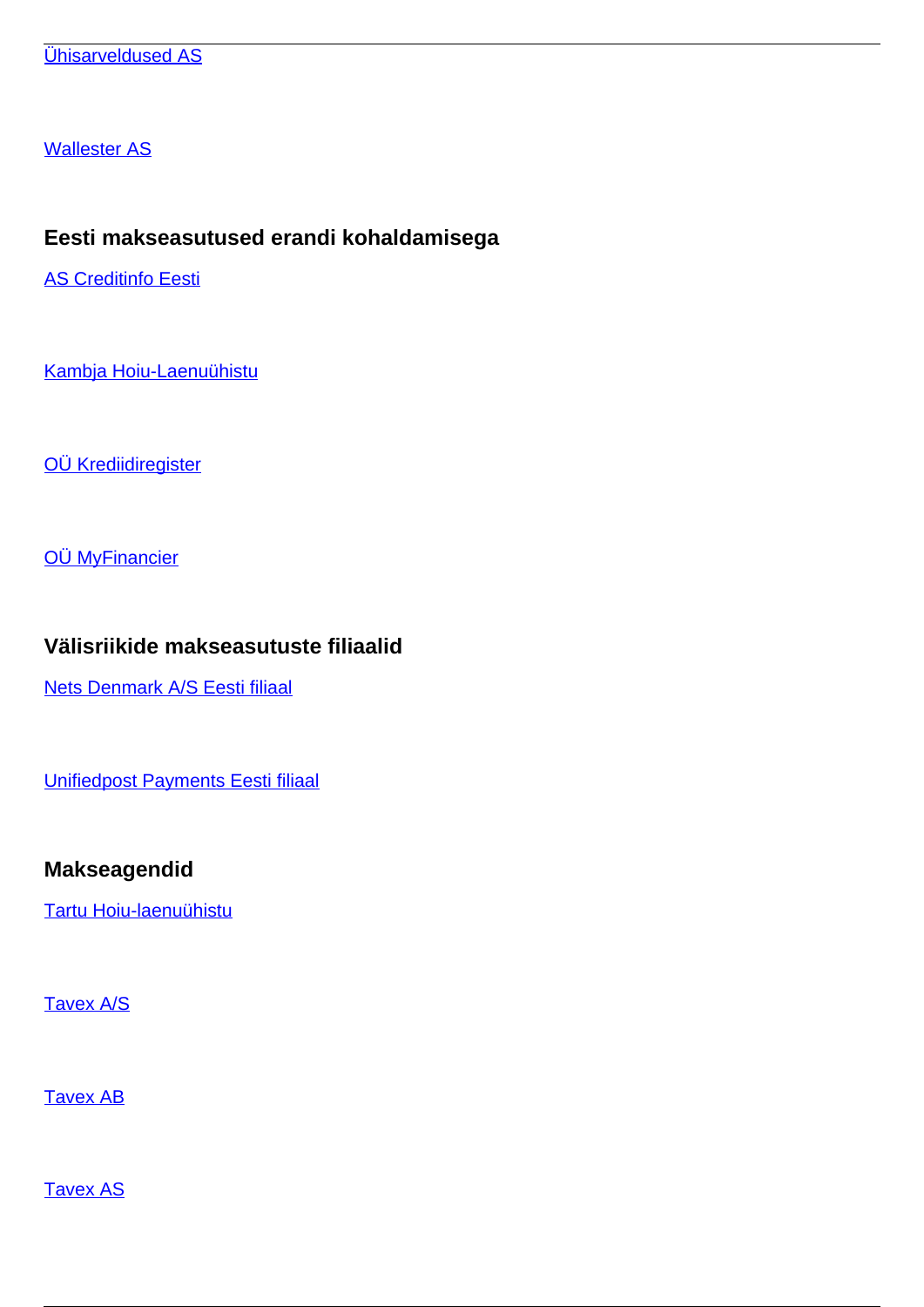[Wallester AS](/et/makseteenused/makseteenused/makseasutused/eesti-makseasutused/wallester)

## **Eesti makseasutused erandi kohaldamisega**

[AS Creditinfo Eesti](/et/makseteenused/makseteenused/makseasutused/eesti-makseasutused-erandi-kohaldamisega/creditinfo-eesti)

[Kambja Hoiu-Laenuühistu](/et/makseteenused/makseasutused/eesti-makseasutused-erandi-kohaldamisega/kambja-hoiu-laenuuhistu)

[OÜ Krediidiregister](/et/makseteenused/makseasutused/eesti-makseasutused-erandi-kohaldamisega/ou-krediidiregister)

[OÜ MyFinancier](/et/makseteenused/makseteenused/makseasutused/eesti-makseasutused-erandi-kohaldamisega/ou-myfinancier)

## **Välisriikide makseasutuste filiaalid**

[Nets Denmark A/S Eesti filiaal](/et/makseteenused/makseteenused/makseasutused/valisriikide-makseasutuste-filiaalid/nets-denmark-eesti-filiaal)

[Unifiedpost Payments Eesti filiaal](/et/makseteenused/makseteenused/makseasutused/valisriikide-makseasutuste-filiaalid/unifiedpost-payments-eesti-filiaal)

## **Makseagendid**

[Tartu Hoiu-laenuühistu](/et/makseteenused-0/makseteenused/makseasutused/makseagendid/tartu-hoiu-laenuuhistu)

[Tavex A/S](/et/makseteenused-0/makseteenused/makseasutused/makseagendid/tavex-0)

[Tavex AB](/et/makseteenused-0/makseteenused/makseasutused/makseagendid/tavex-ab)

**[Tavex AS](/et/makseteenused-0/makseteenused/makseasutused/makseagendid/tavex)**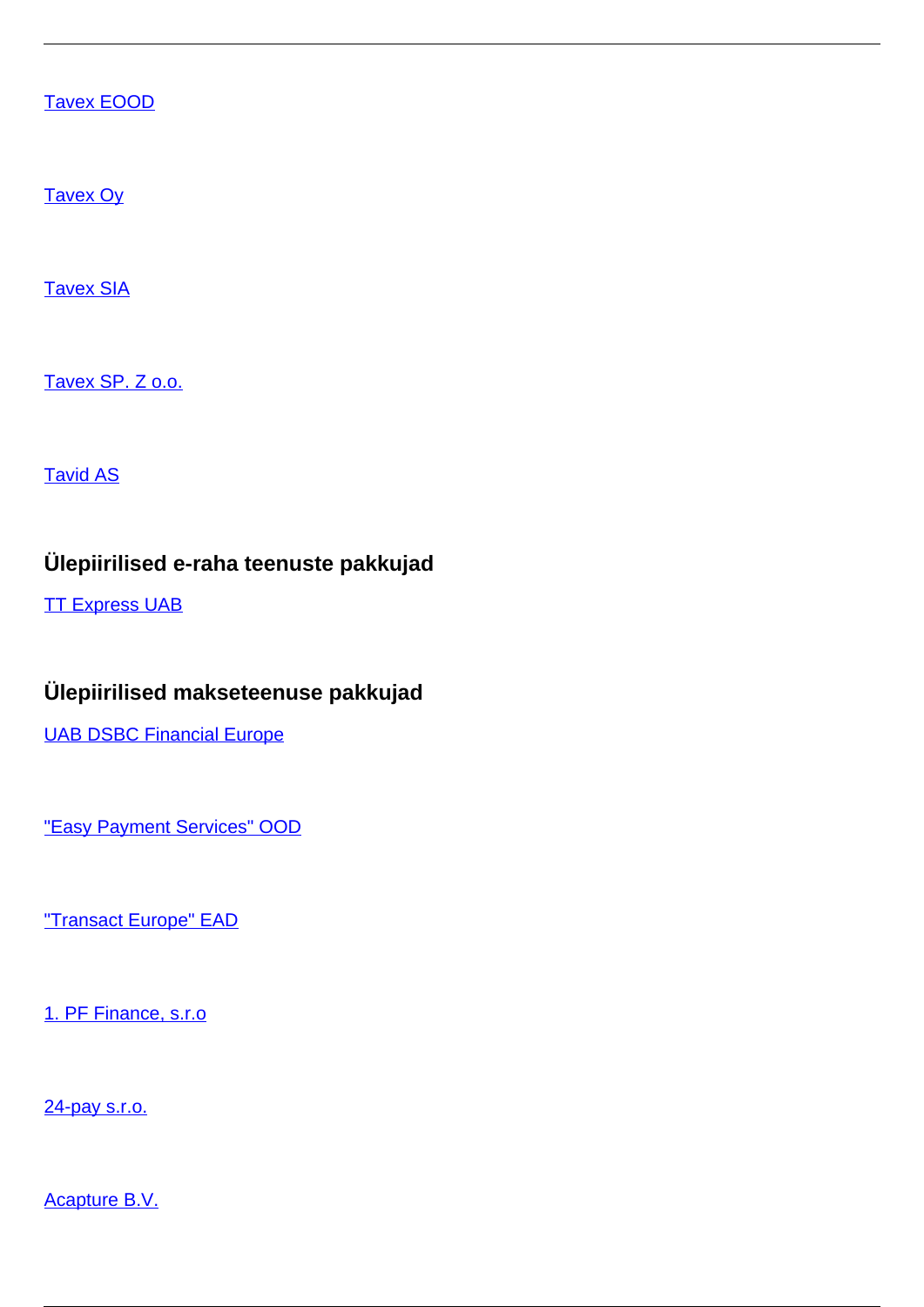[Tavex EOOD](/et/makseteenused-0/makseteenused/makseasutused/makseagendid/tavex-eood)

[Tavex Oy](/et/makseteenused-0/makseteenused/makseasutused/makseagendid/tavex-oy)

**[Tavex SIA](/et/makseteenused-0/makseteenused/makseasutused/makseagendid/tavex-sia)** 

[Tavex SP. Z o.o.](/et/makseteenused-0/makseteenused/makseasutused/makseagendid/tavex-sp-z-oo)

[Tavid AS](/et/makseteenused/makseteenused/makseasutused/makseagendid/tavid)

## **Ülepiirilised e-raha teenuste pakkujad**

**[TT Express UAB](/et/makseteenused/makseteenused/e-raha-asutused/ulepiirilised-e-raha-teenuste-pakkujad/tt-express-uab)** 

# **Ülepiirilised makseteenuse pakkujad**

[UAB DSBC Financial Europe](/et/makseteenused/makseteenused/makseasutused/ulepiirilised-makseteenuse-pakkujad/uab-dsbc-financial-europe)

["Easy Payment Services" OOD](/et/makseteenused/makseteenused/makseasutused/ulepiirilised-makseteenuse-pakkujad/easy-payment-services-ood)

["Transact Europe" EAD](/et/makseteenused/makseteenused/makseasutused/ulepiirilised-makseteenuse-pakkujad/transact-europe-ead)

[1. PF Finance, s.r.o](/et/makseteenused/makseteenused/makseasutused/ulepiirilised-makseteenuse-pakkujad/1-pf-finance-sro)

[24-pay s.r.o.](/et/makseteenused/makseteenused/makseasutused/ulepiirilised-makseteenuse-pakkujad/24-pay-sro)

[Acapture B.V.](/et/makseteenused/makseteenused/makseasutused/ulepiirilised-makseteenuse-pakkujad/acapture-bv)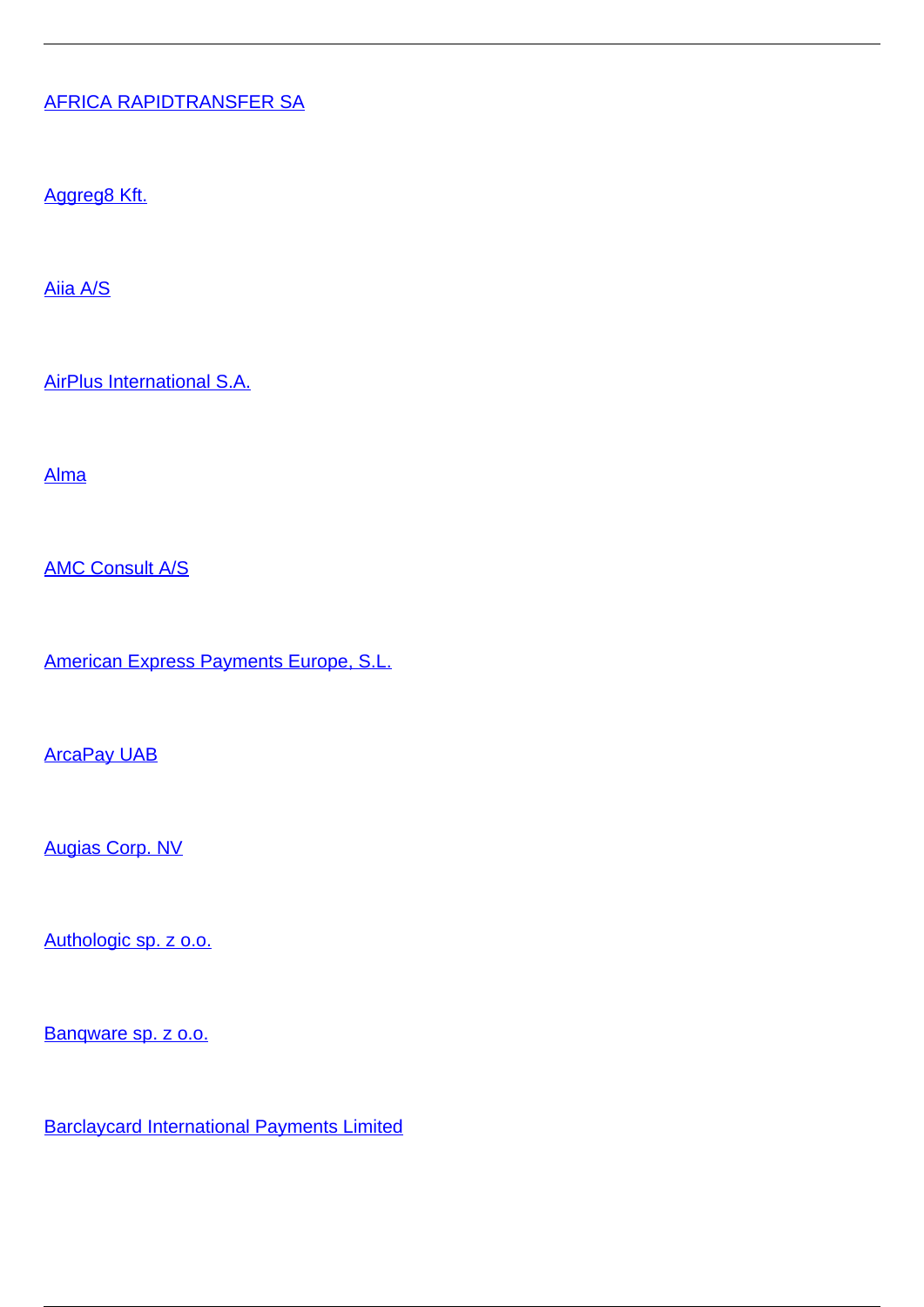### [AFRICA RAPIDTRANSFER SA](/et/makseteenused/makseteenused/makseasutused/ulepiirilised-makseteenuse-pakkujad/africa-rapidtransfer-sa)

[Aggreg8 Kft.](/et/makseteenused/makseteenused/makseasutused/ulepiirilised-makseteenuse-pakkujad/aggreg8-kft)

[Aiia A/S](/et/makseteenused/makseteenused/makseasutused/ulepiirilised-makseteenuse-pakkujad/aiia)

[AirPlus International S.A.](/et/makseteenused/makseteenused/makseasutused/ulepiirilised-makseteenuse-pakkujad/airplus-international-sa)

[Alma](/et/makseteenused/makseteenused/makseasutused/ulepiirilised-makseteenuse-pakkujad/alma)

[AMC Consult A/S](/et/makseteenused/makseteenused/makseasutused/ulepiirilised-makseteenuse-pakkujad/amc-consult)

[American Express Payments Europe, S.L.](/et/makseteenused/makseteenused/makseasutused/ulepiirilised-makseteenuse-pakkujad/american-express-payments-europe-sl)

**[ArcaPay UAB](/et/makseteenused/makseteenused/makseasutused/ulepiirilised-makseteenuse-pakkujad/arcapay-uab)** 

[Augias Corp. NV](/et/makseteenused/makseteenused/makseasutused/ulepiirilised-makseteenuse-pakkujad/augias-corp-nv)

[Authologic sp. z o.o.](/et/makseteenused/makseteenused/makseasutused/ulepiirilised-makseteenuse-pakkujad/authologic-sp-z-oo)

[Banqware sp. z o.o.](/et/makseteenused/makseteenused/makseasutused/ulepiirilised-makseteenuse-pakkujad/banqware-sp-z-oo)

[Barclaycard International Payments Limited](/et/makseteenused/makseteenused/makseasutused/ulepiirilised-makseteenuse-pakkujad/barclaycard-international-payments-limited)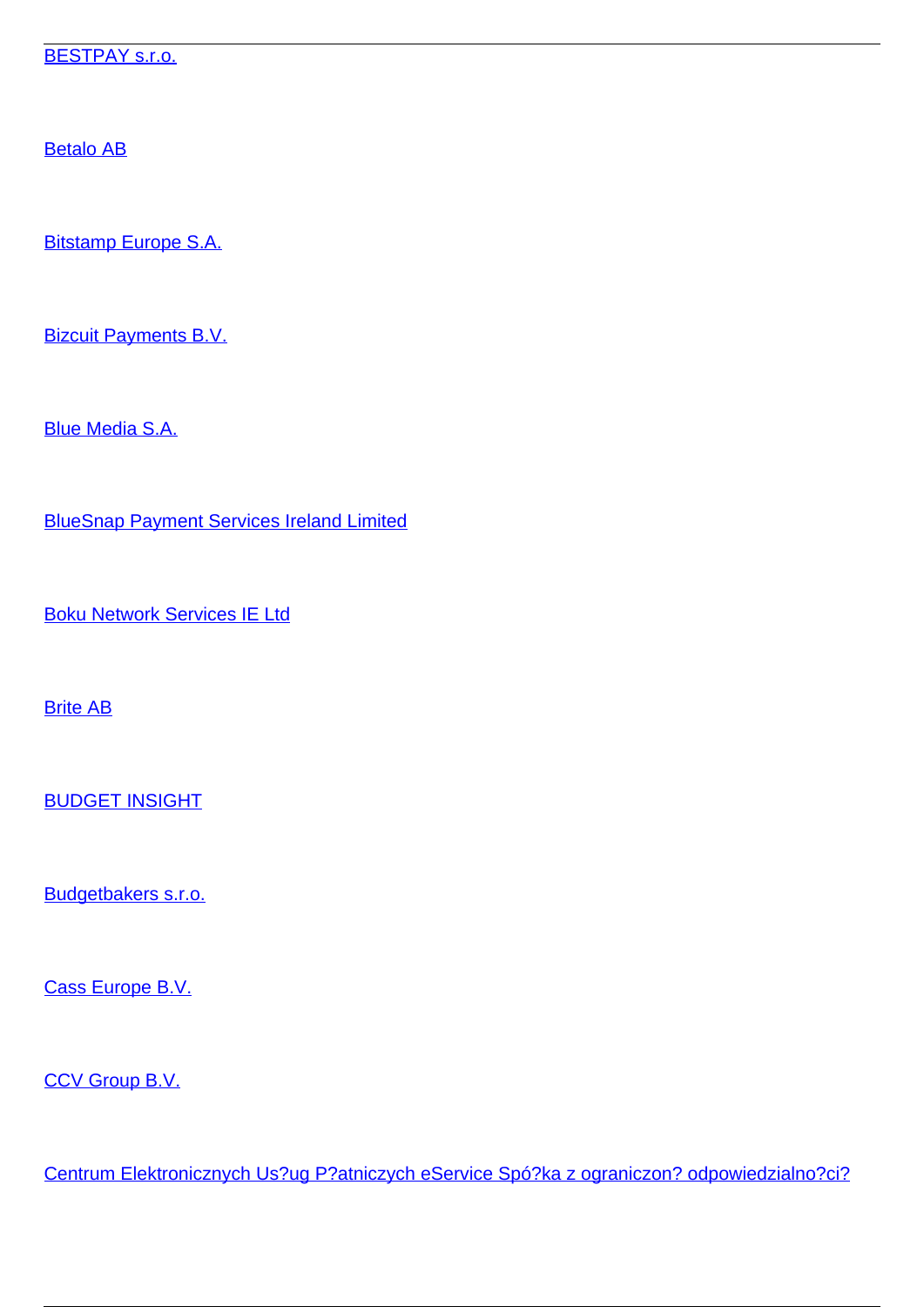[BESTPAY s.r.o.](/et/makseteenused/makseteenused/makseasutused/ulepiirilised-makseteenuse-pakkujad/bestpay-sro)

[Betalo AB](/et/makseteenused/makseteenused/makseasutused/ulepiirilised-makseteenuse-pakkujad/betalo-ab)

[Bitstamp Europe S.A.](/et/makseteenused/makseteenused/makseasutused/ulepiirilised-makseteenuse-pakkujad/bitstamp-europe-sa)

[Bizcuit Payments B.V.](/et/makseteenused/makseteenused/makseasutused/ulepiirilised-makseteenuse-pakkujad/bizcuit-payments-bv)

[Blue Media S.A.](/et/makseteenused/makseteenused/makseasutused/ulepiirilised-makseteenuse-pakkujad/blue-media-sa)

[BlueSnap Payment Services Ireland Limited](/et/makseteenused/makseteenused/makseasutused/ulepiirilised-makseteenuse-pakkujad/bluesnap-payment-services-ireland-limited)

[Boku Network Services IE Ltd](/et/makseteenused/makseteenused/makseasutused/ulepiirilised-makseteenuse-pakkujad/boku-network-services-ie-ltd)

[Brite AB](/et/makseteenused/makseteenused/makseasutused/ulepiirilised-makseteenuse-pakkujad/brite-ab)

[BUDGET INSIGHT](/et/makseteenused/makseteenused/makseasutused/ulepiirilised-makseteenuse-pakkujad/budget-insight)

[Budgetbakers s.r.o.](/et/makseteenused/makseteenused/makseasutused/ulepiirilised-makseteenuse-pakkujad/budgetbakers-sro)

[Cass Europe B.V.](/et/makseteenused/makseteenused/makseasutused/ulepiirilised-makseteenuse-pakkujad/cass-europe-bv)

[CCV Group B.V.](/et/makseteenused/makseteenused/makseasutused/ulepiirilised-makseteenuse-pakkujad/ccv-group-bv)

[Centrum Elektronicznych Us?ug P?atniczych eService Spó?ka z ograniczon? odpowiedzialno?ci?](/et/makseteenused/makseteenused/makseasutused/ulepiirilised-makseteenuse-pakkujad/centrum-elektronicznych-uslug-platniczych-eservice-spolka-z-ograniczona-odpowiedzialnoscia)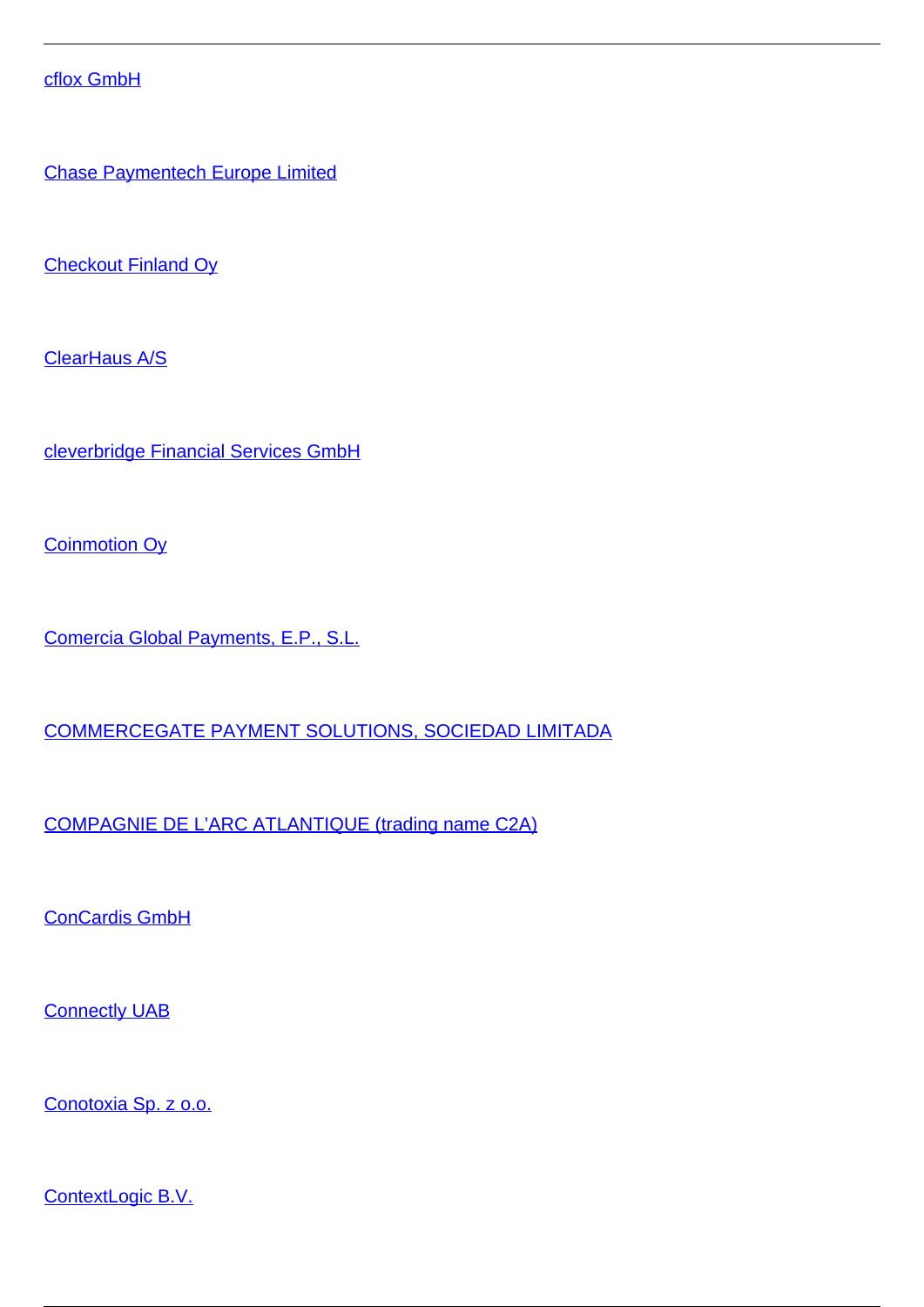[cflox GmbH](/et/makseteenused/makseteenused/makseasutused/ulepiirilised-makseteenuse-pakkujad/cflox-gmbh)

[Chase Paymentech Europe Limited](/et/makseteenused/makseteenused/makseasutused/ulepiirilised-makseteenuse-pakkujad/chase-paymentech-europe-limited)

[Checkout Finland Oy](/et/makseteenused/makseteenused/makseasutused/ulepiirilised-makseteenuse-pakkujad/checkout-finland-oy)

[ClearHaus A/S](/et/makseteenused/makseteenused/makseasutused/ulepiirilised-makseteenuse-pakkujad/clearhaus)

[cleverbridge Financial Services GmbH](/et/makseteenused/makseteenused/makseasutused/ulepiirilised-makseteenuse-pakkujad/cleverbridge-financial-services-gmbh)

**[Coinmotion Oy](/et/makseteenused/makseteenused/makseasutused/ulepiirilised-makseteenuse-pakkujad/coinmotion-oy)** 

[Comercia Global Payments, E.P., S.L.](/et/makseteenused/makseteenused/makseasutused/ulepiirilised-makseteenuse-pakkujad/comercia-global-payments-ep-sl)

[COMMERCEGATE PAYMENT SOLUTIONS, SOCIEDAD LIMITADA](/et/makseteenused/makseteenused/makseasutused/ulepiirilised-makseteenuse-pakkujad/commercegate-payment-solutions-sociedad-limitada)

[COMPAGNIE DE L'ARC ATLANTIQUE \(trading name C2A\)](/et/makseteenused/makseteenused/makseasutused/ulepiirilised-makseteenuse-pakkujad/compagnie-de-larc-atlantique-trading-name-c2a)

[ConCardis GmbH](/et/makseteenused/makseteenused/makseasutused/ulepiirilised-makseteenuse-pakkujad/concardis-gmbh)

**[Connectly UAB](/et/makseteenused/makseteenused/makseasutused/ulepiirilised-makseteenuse-pakkujad/connectly-uab)** 

[Conotoxia Sp. z o.o.](/et/makseteenused/makseteenused/makseasutused/ulepiirilised-makseteenuse-pakkujad/conotoxia-sp-z-oo)

[ContextLogic B.V.](/et/makseteenused/makseteenused/makseasutused/ulepiirilised-makseteenuse-pakkujad/contextlogic-bv)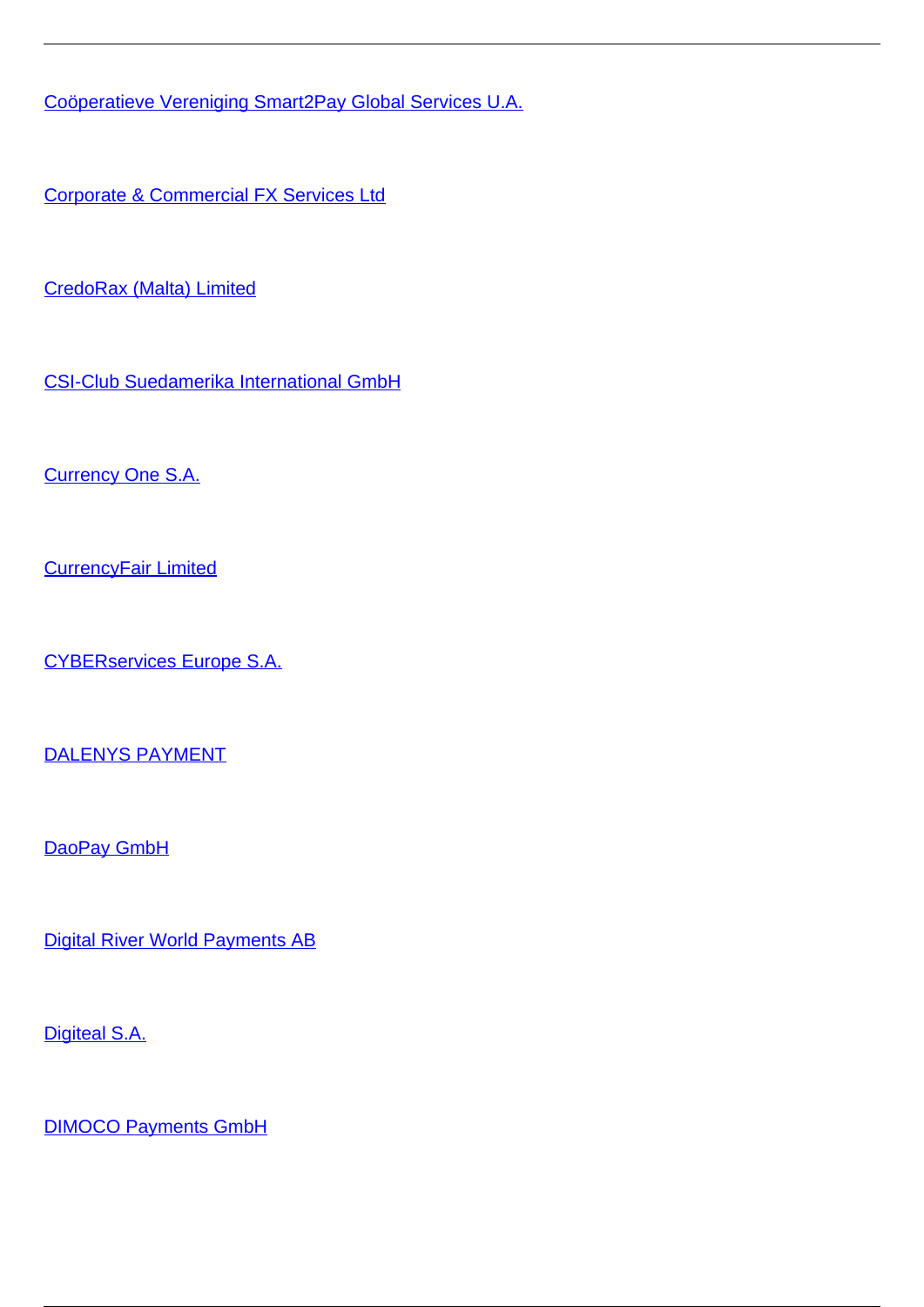[Coöperatieve Vereniging Smart2Pay Global Services U.A.](/et/makseteenused/makseteenused/makseasutused/ulepiirilised-makseteenuse-pakkujad/cooperatieve-vereniging-smart2pay-global-services-ua)

[Corporate & Commercial FX Services Ltd](/et/makseteenused/makseteenused/makseasutused/ulepiirilised-makseteenuse-pakkujad/corporate-commercial-fx-services-ltd)

[CredoRax \(Malta\) Limited](/et/makseteenused/makseteenused/makseasutused/ulepiirilised-makseteenuse-pakkujad/credorax-malta-limited)

[CSI-Club Suedamerika International GmbH](/et/makseteenused/makseteenused/makseasutused/ulepiirilised-makseteenuse-pakkujad/csi-club-suedamerika-international-gmbh)

[Currency One S.A.](/et/makseteenused/makseteenused/makseasutused/ulepiirilised-makseteenuse-pakkujad/currency-one-sa)

[CurrencyFair Limited](/et/makseteenused/makseteenused/makseasutused/ulepiirilised-makseteenuse-pakkujad/currencyfair-limited)

[CYBERservices Europe S.A.](/et/makseteenused/makseteenused/makseasutused/ulepiirilised-makseteenuse-pakkujad/cyberservices-europe-sa)

[DALENYS PAYMENT](/et/makseteenused/makseteenused/makseasutused/ulepiirilised-makseteenuse-pakkujad/dalenys-payment)

[DaoPay GmbH](/et/makseteenused/makseteenused/makseasutused/ulepiirilised-makseteenuse-pakkujad/daopay-gmbh)

[Digital River World Payments AB](/et/makseteenused/makseteenused/makseasutused/ulepiirilised-makseteenuse-pakkujad/digital-river-world-payments-ab)

[Digiteal S.A.](/et/makseteenused/makseteenused/makseasutused/ulepiirilised-makseteenuse-pakkujad/digiteal-sa)

[DIMOCO Payments GmbH](/et/makseteenused/makseteenused/makseasutused/ulepiirilised-makseteenuse-pakkujad/dimoco-payments-gmbh)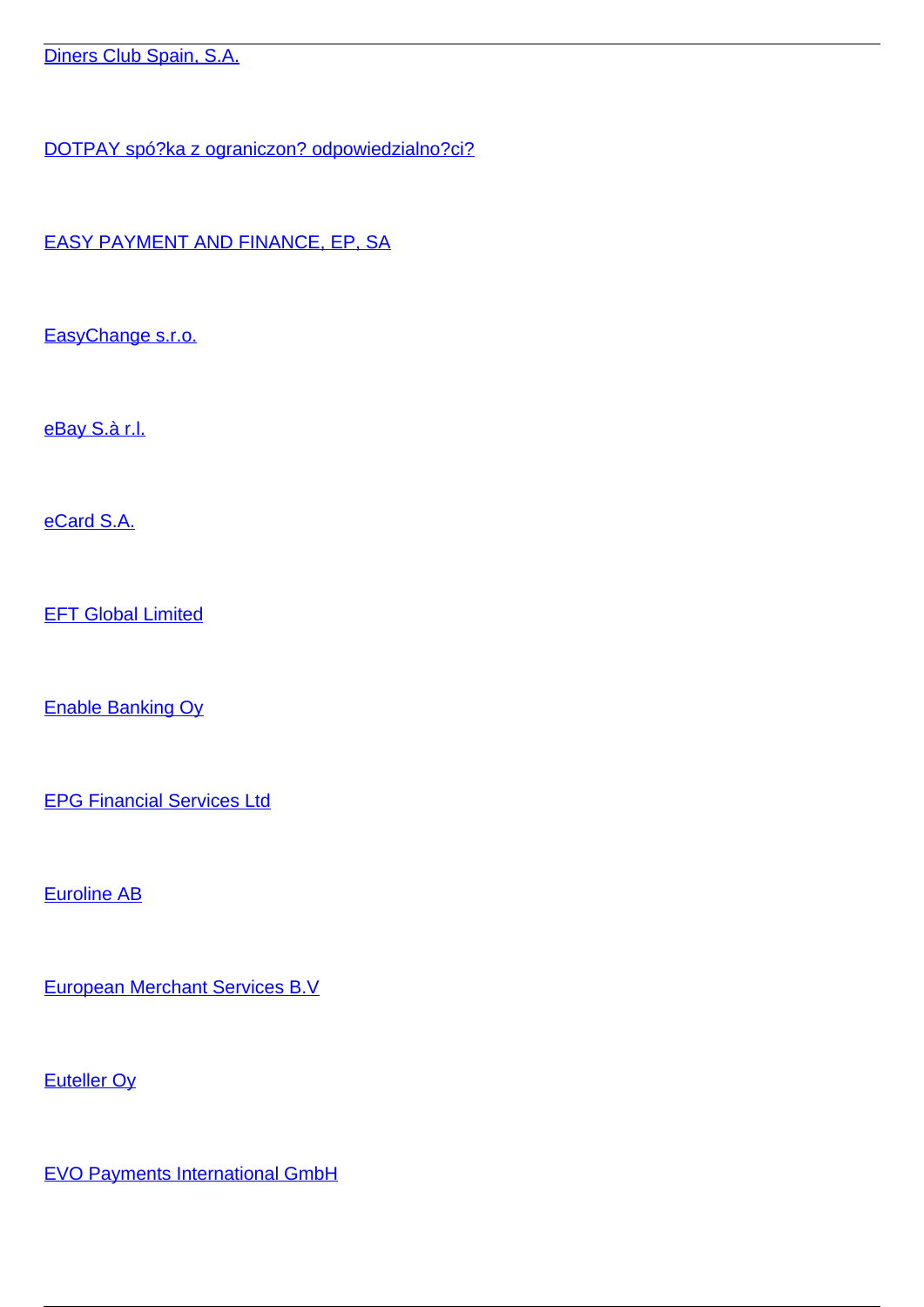[Diners Club Spain, S.A.](/et/makseteenused/makseteenused/makseasutused/ulepiirilised-makseteenuse-pakkujad/diners-club-spain-sa)

[DOTPAY spó?ka z ograniczon? odpowiedzialno?ci?](/et/makseteenused/makseteenused/makseasutused/ulepiirilised-makseteenuse-pakkujad/dotpay-spolka-z-ograniczona-odpowiedzialnoscia)

[EASY PAYMENT AND FINANCE, EP, SA](/et/makseteenused/makseteenused/makseasutused/ulepiirilised-makseteenuse-pakkujad/easy-payment-and-finance-ep-sa)

[EasyChange s.r.o.](/et/makseteenused/makseteenused/makseasutused/ulepiirilised-makseteenuse-pakkujad/easychange-sro)

[eBay S.à r.l.](/et/makseteenused/makseteenused/makseasutused/ulepiirilised-makseteenuse-pakkujad/ebay-sa-rl)

[eCard S.A.](/et/makseteenused/makseteenused/makseasutused/ulepiirilised-makseteenuse-pakkujad/ecard-sa)

**[EFT Global Limited](/et/makseteenused/makseteenused/makseasutused/ulepiirilised-makseteenuse-pakkujad/eft-global-limited)** 

[Enable Banking Oy](/et/makseteenused/makseteenused/makseasutused/ulepiirilised-makseteenuse-pakkujad/enable-banking-oy)

[EPG Financial Services Ltd](/et/makseteenused/makseteenused/makseasutused/ulepiirilised-makseteenuse-pakkujad/epg-financial-services-ltd)

[Euroline AB](/et/makseteenused/makseteenused/makseasutused/ulepiirilised-makseteenuse-pakkujad/euroline-ab)

[European Merchant Services B.V](/et/makseteenused/makseteenused/makseasutused/ulepiirilised-makseteenuse-pakkujad/european-merchant-services-bv)

[Euteller Oy](/et/makseteenused/makseteenused/makseasutused/ulepiirilised-makseteenuse-pakkujad/euteller-oy)

[EVO Payments International GmbH](/et/makseteenused/makseteenused/makseasutused/ulepiirilised-makseteenuse-pakkujad/evo-payments-international-gmbh)